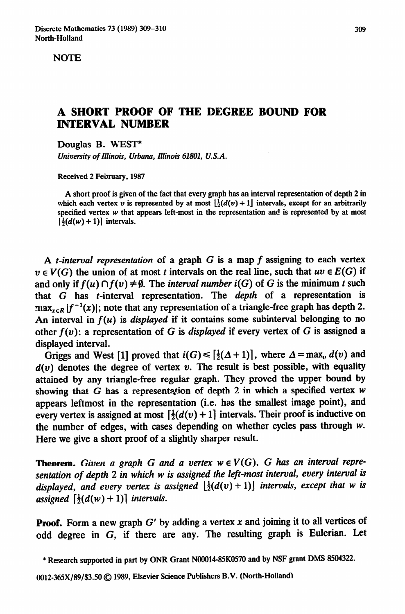**NOTE** 

## **A SHORT PROOF OF THE DEGREE BOUND FOR INTERVAL NUMBER**

Douglas B. WEST\*

*University of Illinois, Urbana, Illinois 61801, U.S.A.* 

**Received 2 February, 1987** 

**A short proof is given of the fact that every graph has an interval representation of depth 2 in**  which each vertex v is represented by at most  $\left[\frac{1}{2}(d(v) + 1)\right]$  intervals, except for an arbitrarily **specified vertex w that appears left-most in the representation and is represented by at most**   $\left[\frac{1}{2}(d(w) + 1)\right]$  intervals.

A *t-interval representation* of a graph G is a map *f* assigning to each vertex  $v \in V(G)$  the union of at most t intervals on the real line, such that  $uv \in E(G)$  if and only if  $f(u) \cap f(v) \neq \emptyset$ . The *interval number i(G)* of G is the minimum t such that G has t-interval representation. The *depth* of a representation is  $\max_{x \in R} |f^{-1}(x)|$ ; note that any representation of a triangle-free graph has depth 2. An interval in  $f(u)$  is *displayed* if it contains some subinterval belonging to no other *f(v);* a representation of G is *displayed* if every vertex of G is assigned a displayed interval.

Griggs and West [1] proved that  $i(G) \leq \lceil \frac{1}{2}(\Delta + 1) \rceil$ , where  $\Delta = \max_v d(v)$  and  $d(v)$  denotes the degree of vertex v. The result is best possible, with equality attained by any triangle-free regular graph. They proved the upper bound by showing that G has a representation of depth 2 in which a specified vertex  $w$ appears leftmost in the representation (i.e. has the smallest image point), and every vertex is assigned at most  $\left[\frac{1}{2}(d(v) + 1)\right]$  intervals. Their proof is inductive on the number of edges, with cases depending on whether cycles pass through W. Here we give a short proof of a slightly sharper result.

**Theorem.** Given a graph G and a vertex  $w \in V(G)$ , G has an interval repre*sentation of depth 2 in which w is assigned the lefi-most interval, every interval is displayed, and every vertex is assigned*  $\left[\frac{1}{2}(d(v) + 1)\right]$  *intervals, except that w is assigned*  $\left[\frac{1}{2}(d(w) + 1)\right]$  *intervals.* 

**Proof.** Form a new graph  $G'$  by adding a vertex x and joining it to all vertices of odd degree in G, if there are any. The resulting graph is Eulerian. Let

**<sup>\*</sup> Research supported in part by ONR Grant NOOO14-85KO570 and by NSF grant DMS 8504322.**